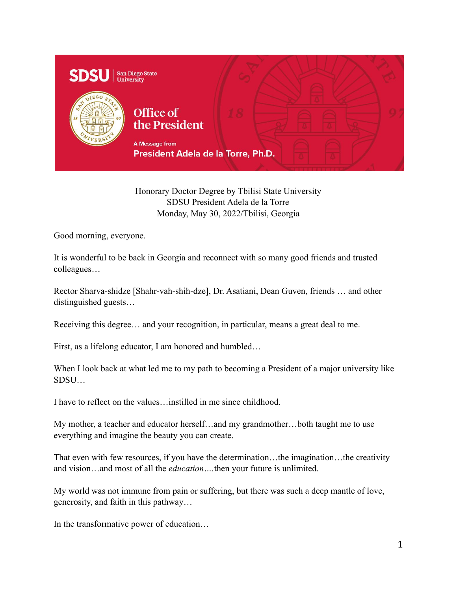

Honorary Doctor Degree by Tbilisi State University SDSU President Adela de la Torre Monday, May 30, 2022/Tbilisi, Georgia

Good morning, everyone.

It is wonderful to be back in Georgia and reconnect with so many good friends and trusted colleagues…

Rector Sharva-shidze [Shahr-vah-shih-dze], Dr. Asatiani, Dean Guven, friends … and other distinguished guests…

Receiving this degree… and your recognition, in particular, means a great deal to me.

First, as a lifelong educator, I am honored and humbled…

When I look back at what led me to my path to becoming a President of a major university like SDSU…

I have to reflect on the values…instilled in me since childhood.

My mother, a teacher and educator herself…and my grandmother…both taught me to use everything and imagine the beauty you can create.

That even with few resources, if you have the determination…the imagination…the creativity and vision…and most of all the *education….*then your future is unlimited.

My world was not immune from pain or suffering, but there was such a deep mantle of love, generosity, and faith in this pathway…

In the transformative power of education…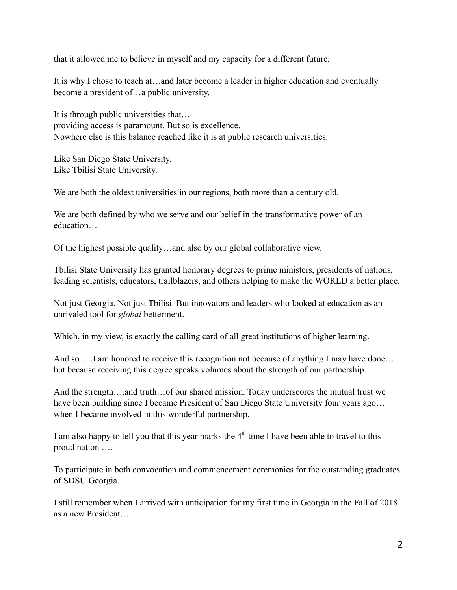that it allowed me to believe in myself and my capacity for a different future.

It is why I chose to teach at…and later become a leader in higher education and eventually become a president of…a public university.

It is through public universities that… providing access is paramount. But so is excellence. Nowhere else is this balance reached like it is at public research universities.

Like San Diego State University. Like Tbilisi State University.

We are both the oldest universities in our regions, both more than a century old.

We are both defined by who we serve and our belief in the transformative power of an education…

Of the highest possible quality…and also by our global collaborative view.

Tbilisi State University has granted honorary degrees to prime ministers, presidents of nations, leading scientists, educators, trailblazers, and others helping to make the WORLD a better place.

Not just Georgia. Not just Tbilisi. But innovators and leaders who looked at education as an unrivaled tool for *global* betterment.

Which, in my view, is exactly the calling card of all great institutions of higher learning.

And so ....I am honored to receive this recognition not because of anything I may have done... but because receiving this degree speaks volumes about the strength of our partnership.

And the strength….and truth…of our shared mission. Today underscores the mutual trust we have been building since I became President of San Diego State University four years ago… when I became involved in this wonderful partnership.

I am also happy to tell you that this year marks the  $4<sup>th</sup>$  time I have been able to travel to this proud nation ….

To participate in both convocation and commencement ceremonies for the outstanding graduates of SDSU Georgia.

I still remember when I arrived with anticipation for my first time in Georgia in the Fall of 2018 as a new President…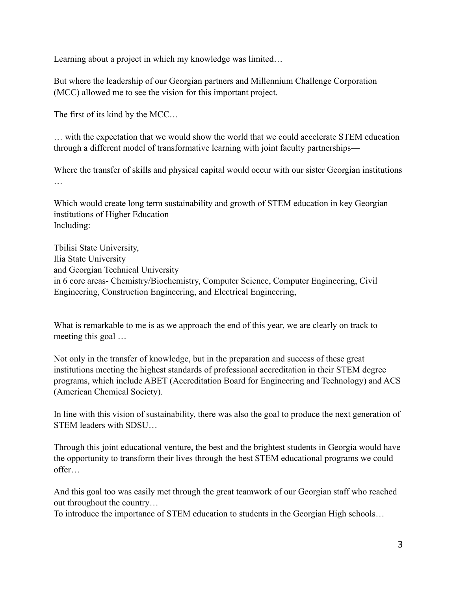Learning about a project in which my knowledge was limited…

But where the leadership of our Georgian partners and Millennium Challenge Corporation (MCC) allowed me to see the vision for this important project.

The first of its kind by the MCC…

… with the expectation that we would show the world that we could accelerate STEM education through a different model of transformative learning with joint faculty partnerships—

Where the transfer of skills and physical capital would occur with our sister Georgian institutions …

Which would create long term sustainability and growth of STEM education in key Georgian institutions of Higher Education Including:

Tbilisi State University, Ilia State University and Georgian Technical University in 6 core areas- Chemistry/Biochemistry, Computer Science, Computer Engineering, Civil Engineering, Construction Engineering, and Electrical Engineering,

What is remarkable to me is as we approach the end of this year, we are clearly on track to meeting this goal …

Not only in the transfer of knowledge, but in the preparation and success of these great institutions meeting the highest standards of professional accreditation in their STEM degree programs, which include ABET (Accreditation Board for Engineering and Technology) and ACS (American Chemical Society).

In line with this vision of sustainability, there was also the goal to produce the next generation of STEM leaders with SDSU…

Through this joint educational venture, the best and the brightest students in Georgia would have the opportunity to transform their lives through the best STEM educational programs we could offer…

And this goal too was easily met through the great teamwork of our Georgian staff who reached out throughout the country…

To introduce the importance of STEM education to students in the Georgian High schools…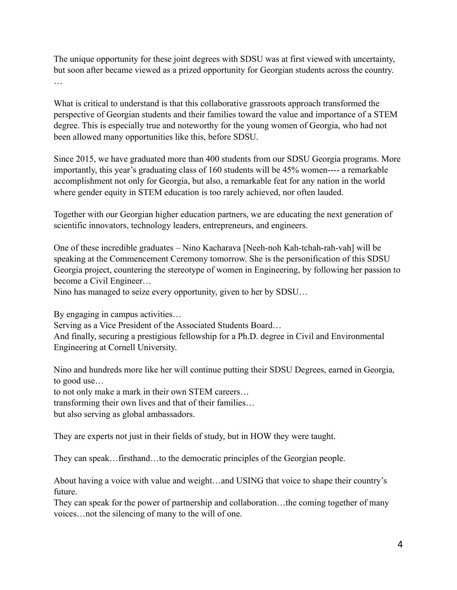The unique opportunity for these joint degrees with SDSU was at first viewed with uncertainty, but soon after became viewed as a prized opportunity for Georgian students across the country. …

What is critical to understand is that this collaborative grassroots approach transformed the perspective of Georgian students and their families toward the value and importance of a STEM degree. This is especially true and noteworthy for the young women of Georgia, who had not been allowed many opportunities like this, before SDSU.

Since 2015, we have graduated more than 400 students from our SDSU Georgia programs. More importantly, this year's graduating class of 160 students will be 45% women---- a remarkable accomplishment not only for Georgia, but also, a remarkable feat for any nation in the world where gender equity in STEM education is too rarely achieved, nor often lauded.

Together with our Georgian higher education partners, we are educating the next generation of scientific innovators, technology leaders, entrepreneurs, and engineers.

One of these incredible graduates – Nino Kacharava [Neeh-noh Kah-tchah-rah-vah] will be speaking at the Commencement Ceremony tomorrow. She is the personification of this SDSU Georgia project, countering the stereotype of women in Engineering, by following her passion to become a Civil Engineer…

Nino has managed to seize every opportunity, given to her by SDSU…

By engaging in campus activities…

Serving as a Vice President of the Associated Students Board…

And finally, securing a prestigious fellowship for a Ph.D. degree in Civil and Environmental Engineering at Cornell University.

Nino and hundreds more like her will continue putting their SDSU Degrees, earned in Georgia, to good use…

to not only make a mark in their own STEM careers…

transforming their own lives and that of their families…

but also serving as global ambassadors.

They are experts not just in their fields of study, but in HOW they were taught.

They can speak…firsthand…to the democratic principles of the Georgian people.

About having a voice with value and weight…and USING that voice to shape their country's future.

They can speak for the power of partnership and collaboration…the coming together of many voices…not the silencing of many to the will of one.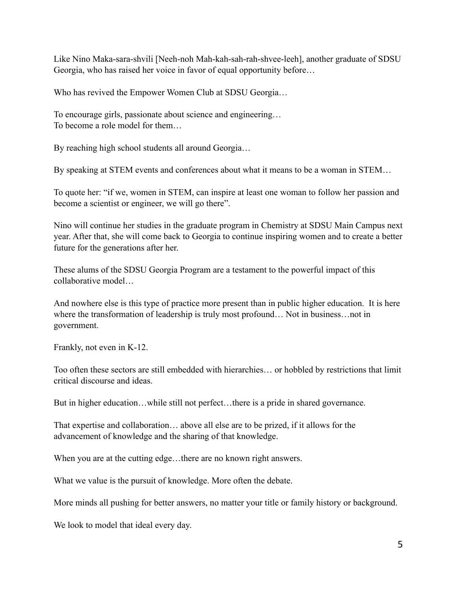Like Nino Maka-sara-shvili [Neeh-noh Mah-kah-sah-rah-shvee-leeh], another graduate of SDSU Georgia, who has raised her voice in favor of equal opportunity before…

Who has revived the Empower Women Club at SDSU Georgia…

To encourage girls, passionate about science and engineering… To become a role model for them…

By reaching high school students all around Georgia…

By speaking at STEM events and conferences about what it means to be a woman in STEM…

To quote her: "if we, women in STEM, can inspire at least one woman to follow her passion and become a scientist or engineer, we will go there".

Nino will continue her studies in the graduate program in Chemistry at SDSU Main Campus next year. After that, she will come back to Georgia to continue inspiring women and to create a better future for the generations after her.

These alums of the SDSU Georgia Program are a testament to the powerful impact of this collaborative model…

And nowhere else is this type of practice more present than in public higher education. It is here where the transformation of leadership is truly most profound… Not in business…not in government.

Frankly, not even in K-12.

Too often these sectors are still embedded with hierarchies… or hobbled by restrictions that limit critical discourse and ideas.

But in higher education…while still not perfect…there is a pride in shared governance.

That expertise and collaboration… above all else are to be prized, if it allows for the advancement of knowledge and the sharing of that knowledge.

When you are at the cutting edge...there are no known right answers.

What we value is the pursuit of knowledge. More often the debate.

More minds all pushing for better answers, no matter your title or family history or background.

We look to model that ideal every day.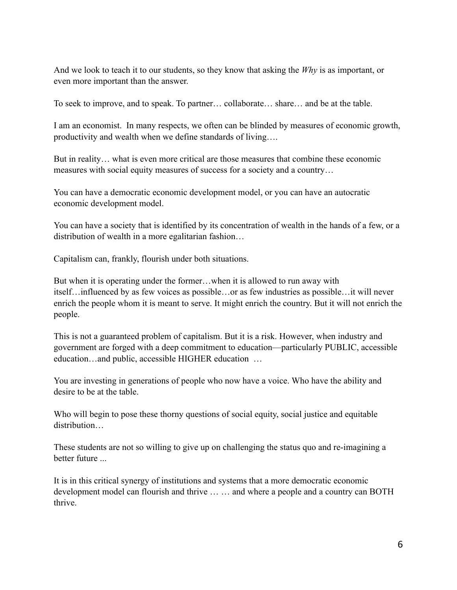And we look to teach it to our students, so they know that asking the *Why* is as important, or even more important than the answer.

To seek to improve, and to speak. To partner… collaborate… share… and be at the table.

I am an economist. In many respects, we often can be blinded by measures of economic growth, productivity and wealth when we define standards of living….

But in reality… what is even more critical are those measures that combine these economic measures with social equity measures of success for a society and a country…

You can have a democratic economic development model, or you can have an autocratic economic development model.

You can have a society that is identified by its concentration of wealth in the hands of a few, or a distribution of wealth in a more egalitarian fashion…

Capitalism can, frankly, flourish under both situations.

But when it is operating under the former…when it is allowed to run away with itself…influenced by as few voices as possible…or as few industries as possible…it will never enrich the people whom it is meant to serve. It might enrich the country. But it will not enrich the people.

This is not a guaranteed problem of capitalism. But it is a risk. However, when industry and government are forged with a deep commitment to education—particularly PUBLIC, accessible education…and public, accessible HIGHER education …

You are investing in generations of people who now have a voice. Who have the ability and desire to be at the table.

Who will begin to pose these thorny questions of social equity, social justice and equitable distribution…

These students are not so willing to give up on challenging the status quo and re-imagining a better future ...

It is in this critical synergy of institutions and systems that a more democratic economic development model can flourish and thrive … … and where a people and a country can BOTH thrive.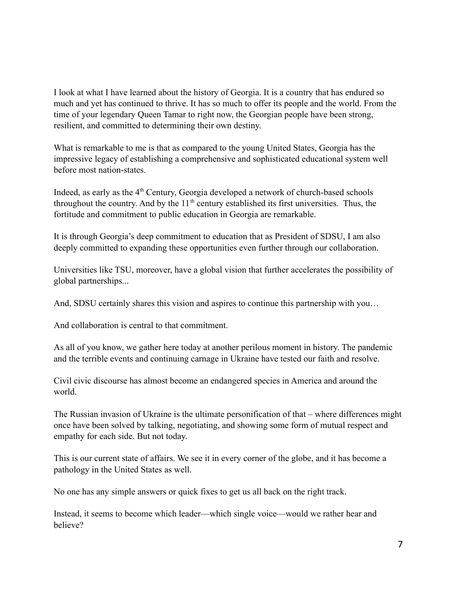I look at what I have learned about the history of Georgia. It is a country that has endured so much and yet has continued to thrive. It has so much to offer its people and the world. From the time of your legendary Queen Tamar to right now, the Georgian people have been strong, resilient, and committed to determining their own destiny.

What is remarkable to me is that as compared to the young United States, Georgia has the impressive legacy of establishing a comprehensive and sophisticated educational system well before most nation-states.

Indeed, as early as the  $4<sup>th</sup>$  Century, Georgia developed a network of church-based schools throughout the country. And by the  $11<sup>th</sup>$  century established its first universities. Thus, the fortitude and commitment to public education in Georgia are remarkable.

It is through Georgia's deep commitment to education that as President of SDSU, I am also deeply committed to expanding these opportunities even further through our collaboration.

Universities like TSU, moreover, have a global vision that further accelerates the possibility of global partnerships...

And, SDSU certainly shares this vision and aspires to continue this partnership with you…

And collaboration is central to that commitment.

As all of you know, we gather here today at another perilous moment in history. The pandemic and the terrible events and continuing carnage in Ukraine have tested our faith and resolve.

Civil civic discourse has almost become an endangered species in America and around the world.

The Russian invasion of Ukraine is the ultimate personification of that – where differences might once have been solved by talking, negotiating, and showing some form of mutual respect and empathy for each side. But not today.

This is our current state of affairs. We see it in every corner of the globe, and it has become a pathology in the United States as well.

No one has any simple answers or quick fixes to get us all back on the right track.

Instead, it seems to become which leader—which single voice—would we rather hear and believe?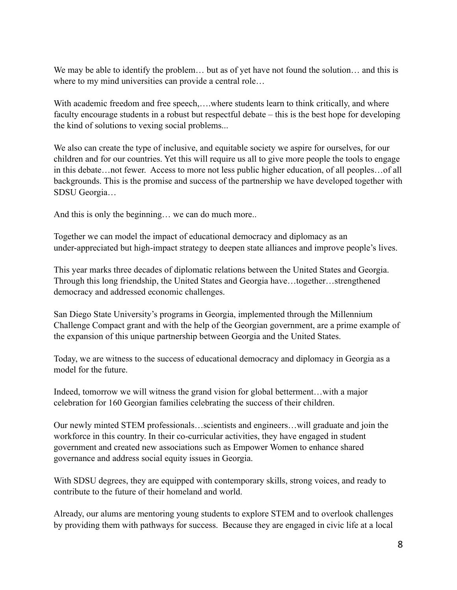We may be able to identify the problem... but as of yet have not found the solution... and this is where to my mind universities can provide a central role…

With academic freedom and free speech,...,where students learn to think critically, and where faculty encourage students in a robust but respectful debate – this is the best hope for developing the kind of solutions to vexing social problems...

We also can create the type of inclusive, and equitable society we aspire for ourselves, for our children and for our countries. Yet this will require us all to give more people the tools to engage in this debate…not fewer. Access to more not less public higher education, of all peoples…of all backgrounds. This is the promise and success of the partnership we have developed together with SDSU Georgia…

And this is only the beginning… we can do much more..

Together we can model the impact of educational democracy and diplomacy as an under-appreciated but high-impact strategy to deepen state alliances and improve people's lives.

This year marks three decades of diplomatic relations between the United States and Georgia. Through this long friendship, the United States and Georgia have…together…strengthened democracy and addressed economic challenges.

San Diego State University's programs in Georgia, implemented through the Millennium Challenge Compact grant and with the help of the Georgian government, are a prime example of the expansion of this unique partnership between Georgia and the United States.

Today, we are witness to the success of educational democracy and diplomacy in Georgia as a model for the future.

Indeed, tomorrow we will witness the grand vision for global betterment…with a major celebration for 160 Georgian families celebrating the success of their children.

Our newly minted STEM professionals…scientists and engineers…will graduate and join the workforce in this country. In their co-curricular activities, they have engaged in student government and created new associations such as Empower Women to enhance shared governance and address social equity issues in Georgia.

With SDSU degrees, they are equipped with contemporary skills, strong voices, and ready to contribute to the future of their homeland and world.

Already, our alums are mentoring young students to explore STEM and to overlook challenges by providing them with pathways for success. Because they are engaged in civic life at a local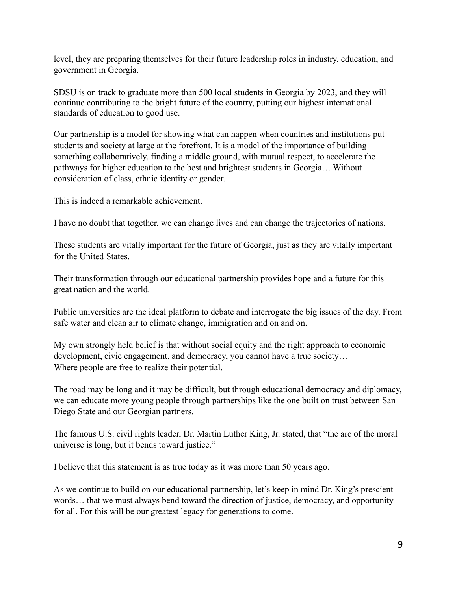level, they are preparing themselves for their future leadership roles in industry, education, and government in Georgia.

SDSU is on track to graduate more than 500 local students in Georgia by 2023, and they will continue contributing to the bright future of the country, putting our highest international standards of education to good use.

Our partnership is a model for showing what can happen when countries and institutions put students and society at large at the forefront. It is a model of the importance of building something collaboratively, finding a middle ground, with mutual respect, to accelerate the pathways for higher education to the best and brightest students in Georgia… Without consideration of class, ethnic identity or gender.

This is indeed a remarkable achievement.

I have no doubt that together, we can change lives and can change the trajectories of nations.

These students are vitally important for the future of Georgia, just as they are vitally important for the United States.

Their transformation through our educational partnership provides hope and a future for this great nation and the world.

Public universities are the ideal platform to debate and interrogate the big issues of the day. From safe water and clean air to climate change, immigration and on and on.

My own strongly held belief is that without social equity and the right approach to economic development, civic engagement, and democracy, you cannot have a true society… Where people are free to realize their potential.

The road may be long and it may be difficult, but through educational democracy and diplomacy, we can educate more young people through partnerships like the one built on trust between San Diego State and our Georgian partners.

The famous U.S. civil rights leader, Dr. Martin Luther King, Jr. stated, that "the arc of the moral universe is long, but it bends toward justice."

I believe that this statement is as true today as it was more than 50 years ago.

As we continue to build on our educational partnership, let's keep in mind Dr. King's prescient words… that we must always bend toward the direction of justice, democracy, and opportunity for all. For this will be our greatest legacy for generations to come.